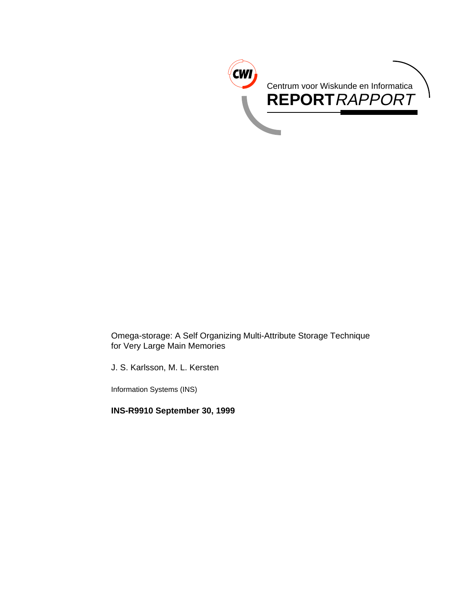

Omega-storage: A Self Organizing Multi-Attribute Storage Technique for Very Large Main Memories

J. S. Karlsson, M. L. Kersten

Information Systems (INS)

**INS-R9910 September 30, 1999**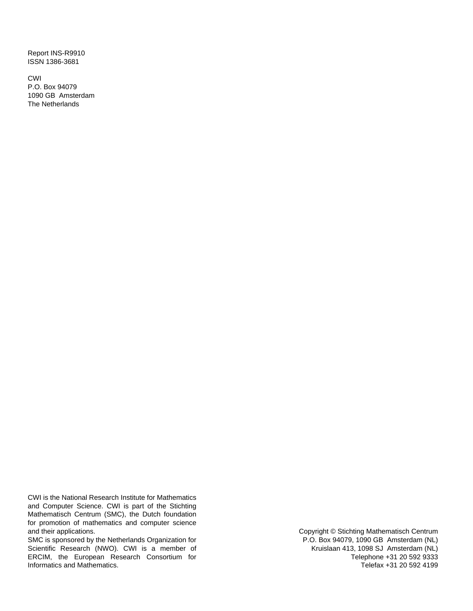Report INS-R9910 ISSN 1386-3681

CWI P.O. Box 94079 1090 GB Amsterdam The Netherlands

CWI is the National Research Institute for Mathematics and Computer Science. CWI is part of the Stichting Mathematisch Centrum (SMC), the Dutch foundation for promotion of mathematics and computer science and their applications.

SMC is sponsored by the Netherlands Organization for Scientific Research (NWO). CWI is a member of ERCIM, the European Research Consortium for Informatics and Mathematics.

Copyright © Stichting Mathematisch Centrum P.O. Box 94079, 1090 GB Amsterdam (NL) Kruislaan 413, 1098 SJ Amsterdam (NL) Telephone +31 20 592 9333 Telefax +31 20 592 4199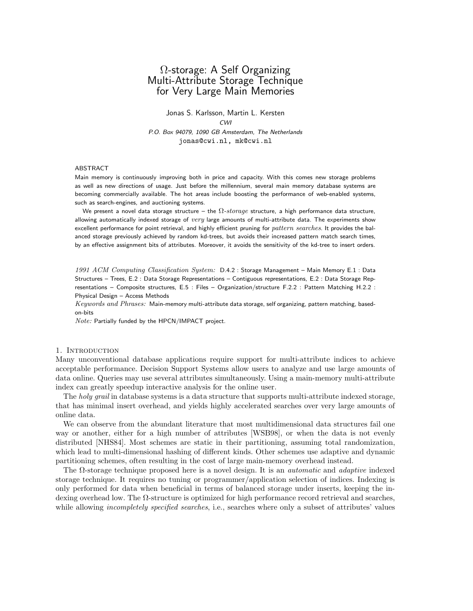# $\Omega$ -storage: A Self Organizing Multi-Attribute Storage Technique for Very Large Main Memories

## Jonas S. Karlsson, Martin L. Kersten  $CMI$ P.O. Box 94079, 1090 GB Amsterdam, The Netherlands jonas@cwi.nl, mk@cwi.nl

#### ABSTRACT

Main memory is continuously improving both in price and capacity. With this comes new storage problems as well as new directions of usage. Just before the millennium, several main memory database systems are becoming commercially available. The hot areas include boosting the performance of web-enabled systems, such as search-engines, and auctioning systems.

We present a novel data storage structure – the  $\Omega$ -storage structure, a high performance data structure, allowing automatically indexed storage of  $very$  large amounts of multi-attribute data. The experiments show excellent performance for point retrieval, and highly efficient pruning for pattern searches. It provides the balanced storage previously achieved by random kd-trees, but avoids their increased pattern match search times, by an effective assignment bits of attributes. Moreover, it avoids the sensitivity of the kd-tree to insert orders.

1991 ACM Computing Classification System: D.4.2 : Storage Management - Main Memory E.1 : Data Structures – Trees, E.2 : Data Storage Representations – Contiguous representations, E.2 : Data Storage Representations – Composite structures, E.5 : Files – Organization/structure F.2.2 : Pattern Matching H.2.2 : Physical Design – Access Methods

Keywords and Phrases: Main-memory multi-attribute data storage, self organizing, pattern matching, basedon-bits

Note: Partially funded by the HPCN/IMPACT project.

#### 1. INTRODUCTION

Many unconventional database applications require support for multi-attribute indices to achieve acceptable performance. Decision Support Systems allow users to analyze and use large amounts of data online. Queries may use several attributes simultaneously. Using a main-memory multi-attribute index can greatly speedup interactive analysis for the online user.

The *holy grail* in database systems is a data structure that supports multi-attribute indexed storage, that has minimal insert overhead, and yields highly accelerated searches over very large amounts of online data.

We can observe from the abundant literature that most multidimensional data structures fail one way or another, either for a high number of attributes [WSB98], or when the data is not evenly distributed [NHS84]. Most schemes are static in their partitioning, assuming total randomization, which lead to multi-dimensional hashing of different kinds. Other schemes use adaptive and dynamic partitioning schemes, often resulting in the cost of large main-memory overhead instead.

The  $\Omega$ -storage technique proposed here is a novel design. It is an *automatic* and *adaptive* indexed storage technique. It requires no tuning or programmer/application selection of indices. Indexing is only performed for data when beneficial in terms of balanced storage under inserts, keeping the indexing overhead low. The Ω-structure is optimized for high performance record retrieval and searches, while allowing *incompletely specified searches*, i.e., searches where only a subset of attributes' values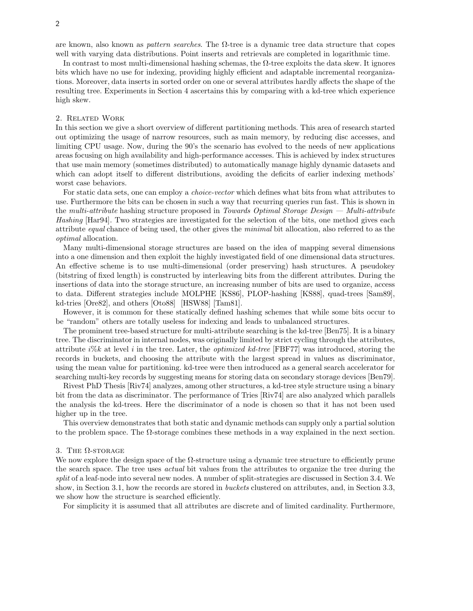are known, also known as pattern searches. The Ω-tree is a dynamic tree data structure that copes well with varying data distributions. Point inserts and retrievals are completed in logarithmic time.

In contrast to most multi-dimensional hashing schemas, the  $\Omega$ -tree exploits the data skew. It ignores bits which have no use for indexing, providing highly efficient and adaptable incremental reorganizations. Moreover, data inserts in sorted order on one or several attributes hardly affects the shape of the resulting tree. Experiments in Section 4 ascertains this by comparing with a kd-tree which experience high skew.

### 2. Related Work

In this section we give a short overview of different partitioning methods. This area of research started out optimizing the usage of narrow resources, such as main memory, by reducing disc accesses, and limiting CPU usage. Now, during the 90's the scenario has evolved to the needs of new applications areas focusing on high availability and high-performance accesses. This is achieved by index structures that use main memory (sometimes distributed) to automatically manage highly dynamic datasets and which can adopt itself to different distributions, avoiding the deficits of earlier indexing methods' worst case behaviors.

For static data sets, one can employ a *choice-vector* which defines what bits from what attributes to use. Furthermore the bits can be chosen in such a way that recurring queries run fast. This is shown in the multi-attribute hashing structure proposed in Towards Optimal Storage Design  $-$  Multi-attribute Hashing [Har94]. Two strategies are investigated for the selection of the bits, one method gives each attribute equal chance of being used, the other gives the minimal bit allocation, also referred to as the optimal allocation.

Many multi-dimensional storage structures are based on the idea of mapping several dimensions into a one dimension and then exploit the highly investigated field of one dimensional data structures. An effective scheme is to use multi-dimensional (order preserving) hash structures. A pseudokey (bitstring of fixed length) is constructed by interleaving bits from the different attributes. During the insertions of data into the storage structure, an increasing number of bits are used to organize, access to data. Different strategies include MOLPHE [KS86], PLOP-hashing [KS88], quad-trees [Sam89], kd-tries [Ore82], and others [Oto88] [HSW88] [Tam81].

However, it is common for these statically defined hashing schemes that while some bits occur to be "random" others are totally useless for indexing and leads to unbalanced structures.

The prominent tree-based structure for multi-attribute searching is the kd-tree [Ben75]. It is a binary tree. The discriminator in internal nodes, was originally limited by strict cycling through the attributes, attribute  $i\%k$  at level i in the tree. Later, the *optimized kd-tree* [FBF77] was introduced, storing the records in buckets, and choosing the attribute with the largest spread in values as discriminator, using the mean value for partitioning. kd-tree were then introduced as a general search accelerator for searching multi-key records by suggesting means for storing data on secondary storage devices [Ben79].

Rivest PhD Thesis [Riv74] analyzes, among other structures, a kd-tree style structure using a binary bit from the data as discriminator. The performance of Tries [Riv74] are also analyzed which parallels the analysis the kd-trees. Here the discriminator of a node is chosen so that it has not been used higher up in the tree.

This overview demonstrates that both static and dynamic methods can supply only a partial solution to the problem space. The  $\Omega$ -storage combines these methods in a way explained in the next section.

#### 3. THE  $\Omega$ -STORAGE

We now explore the design space of the  $\Omega$ -structure using a dynamic tree structure to efficiently prune the search space. The tree uses actual bit values from the attributes to organize the tree during the split of a leaf-node into several new nodes. A number of split-strategies are discussed in Section 3.4. We show, in Section 3.1, how the records are stored in buckets clustered on attributes, and, in Section 3.3, we show how the structure is searched efficiently.

For simplicity it is assumed that all attributes are discrete and of limited cardinality. Furthermore,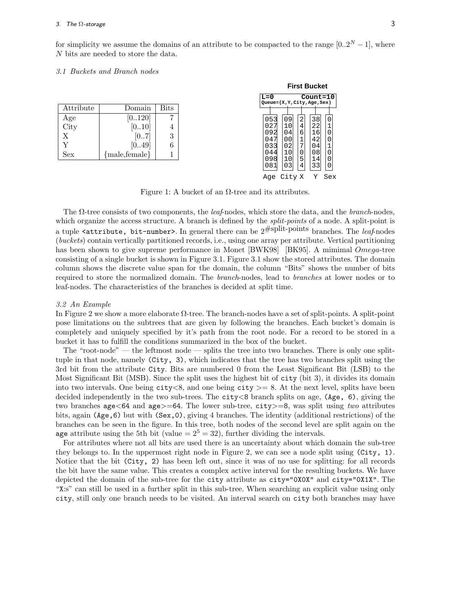for simplicity we assume the domains of an attribute to be compacted to the range  $[0..2^N - 1]$ , where N bits are needed to store the data.

#### 3.1 Buckets and Branch nodes

| Attribute  | Domain           | <b>Bits</b> |
|------------|------------------|-------------|
| Age        | [0120]           |             |
| City       | [010]            |             |
| X          | [07]             | 3           |
|            | [049]            | 6           |
| <b>Sex</b> | ${male, female}$ |             |

| <b>First Bucket</b>                                 |  |                |  |               |                |  |                |  |
|-----------------------------------------------------|--|----------------|--|---------------|----------------|--|----------------|--|
| $L = 0$<br>$Count = 10$<br>Queue=(X,Y,City,Age,Sex) |  |                |  |               |                |  |                |  |
|                                                     |  |                |  |               |                |  |                |  |
|                                                     |  |                |  |               |                |  |                |  |
| 053                                                 |  | 09             |  | 2             | 38             |  | ი              |  |
| 027                                                 |  | 10             |  | 4             | 22             |  | 1              |  |
| 092                                                 |  | 0 <sub>4</sub> |  | б             | 16             |  | Ó              |  |
| 047                                                 |  | 00             |  | $\frac{1}{7}$ | 42             |  | 0              |  |
| 033                                                 |  | 02             |  |               | 0 <sub>4</sub> |  | $\overline{1}$ |  |
| 044                                                 |  | 10             |  | 0             | 08             |  | Ó              |  |
| 098                                                 |  | 10             |  | 5             | 14             |  | 0              |  |
| 081                                                 |  | 03             |  | 4             | 33             |  | N              |  |
| Aqe                                                 |  | City X         |  |               | Y              |  | Sex            |  |

Figure 1: A bucket of an  $\Omega$ -tree and its attributes.

The  $\Omega$ -tree consists of two components, the *leaf*-nodes, which store the data, and the *branch*-nodes, which organize the access structure. A branch is defined by the *split-points* of a node. A split-point is a tuple  $\zeta$  attribute, bit-number>. In general there can be  $2^{\# \text{split-points}}$  branches. The *leaf*-nodes (buckets) contain vertically partitioned records, i.e., using one array per attribute. Vertical partitioning has been shown to give supreme performance in Monet [BWK98] [BK95]. A mimimal  $Omega$ consisting of a single bucket is shown in Figure 3.1. Figure 3.1 show the stored attributes. The domain column shows the discrete value span for the domain, the column "Bits" shows the number of bits required to store the normalized domain. The branch-nodes, lead to branches at lower nodes or to leaf-nodes. The characteristics of the branches is decided at split time.

### 3.2 An Example

In Figure 2 we show a more elaborate Ω-tree. The branch-nodes have a set of split-points. A split-point pose limitations on the subtrees that are given by following the branches. Each bucket's domain is completely and uniquely specified by it's path from the root node. For a record to be stored in a bucket it has to fulfill the conditions summarized in the box of the bucket.

The "root-node" — the leftmost node — splits the tree into two branches. There is only one splittuple in that node, namely (City, 3), which indicates that the tree has two branches split using the 3rd bit from the attribute City. Bits are numbered 0 from the Least Significant Bit (LSB) to the Most Significant Bit (MSB). Since the split uses the highest bit of city (bit 3), it divides its domain into two intervals. One being  $\text{city}\leq 8$ , and one being  $\text{city}\geq 8$ . At the next level, splits have been decided independently in the two sub-trees. The  $\text{city}\leq 8$  branch splits on age, (Age, 6), giving the two branches  $age < 64$  and  $age > = 64$ . The lower sub-tree,  $city > = 8$ , was split using two attributes bits, again (Age,6) but with (Sex,0), giving 4 branches. The identity (additional restrictions) of the branches can be seen in the figure. In this tree, both nodes of the second level are split again on the age attribute using the 5th bit (value  $= 2^5 = 32$ ), further dividing the intervals.

For attributes where not all bits are used there is an uncertainty about which domain the sub-tree they belongs to. In the uppermost right node in Figure 2, we can see a node split using (City, 1). Notice that the bit (City, 2) has been left out, since it was of no use for splitting: for all records the bit have the same value. This creates a complex active interval for the resulting buckets. We have depicted the domain of the sub-tree for the city attribute as city="0X0X" and city="0X1X". The "X:s" can still be used in a further split in this sub-tree. When searching an explicit value using only city, still only one branch needs to be visited. An interval search on city both branches may have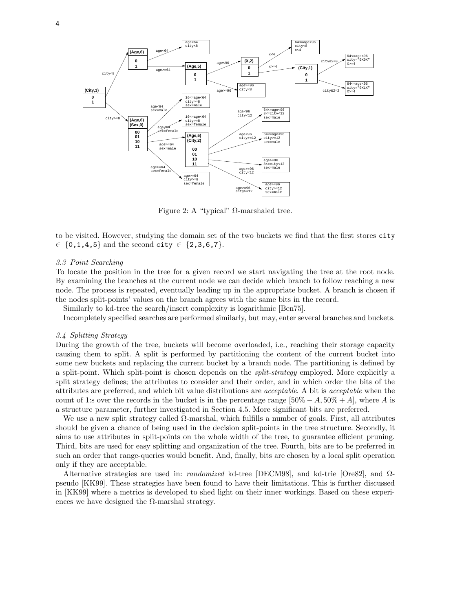

Figure 2: A "typical"  $\Omega$ -marshaled tree.

to be visited. However, studying the domain set of the two buckets we find that the first stores city *∈ {*0,1,4,5*}* and the second city *∈ {*2,3,6,7*}*.

### 3.3 Point Searching

To locate the position in the tree for a given record we start navigating the tree at the root node. By examining the branches at the current node we can decide which branch to follow reaching a new node. The process is repeated, eventually leading up in the appropriate bucket. A branch is chosen if the nodes split-points' values on the branch agrees with the same bits in the record.

Similarly to kd-tree the search/insert complexity is logarithmic [Ben75].

Incompletely specified searches are performed similarly, but may, enter several branches and buckets.

#### 3.4 Splitting Strategy

During the growth of the tree, buckets will become overloaded, i.e., reaching their storage capacity causing them to split. A split is performed by partitioning the content of the current bucket into some new buckets and replacing the current bucket by a branch node. The partitioning is defined by a split-point. Which split-point is chosen depends on the split-strategy employed. More explicitly a split strategy defines; the attributes to consider and their order, and in which order the bits of the attributes are preferred, and which bit value distributions are acceptable. A bit is acceptable when the count of 1:s over the records in the bucket is in the percentage range  $[50\% - A, 50\% + A]$ , where A is a structure parameter, further investigated in Section 4.5. More significant bits are preferred.

We use a new split strategy called  $\Omega$ -marshal, which fulfills a number of goals. First, all attributes should be given a chance of being used in the decision split-points in the tree structure. Secondly, it aims to use attributes in split-points on the whole width of the tree, to guarantee efficient pruning. Third, bits are used for easy splitting and organization of the tree. Fourth, bits are to be preferred in such an order that range-queries would benefit. And, finally, bits are chosen by a local split operation only if they are acceptable.

Alternative strategies are used in: randomized kd-tree [DECM98], and kd-trie [Ore82], and Ωpseudo [KK99]. These strategies have been found to have their limitations. This is further discussed in [KK99] where a metrics is developed to shed light on their inner workings. Based on these experiences we have designed the  $\Omega$ -marshal strategy.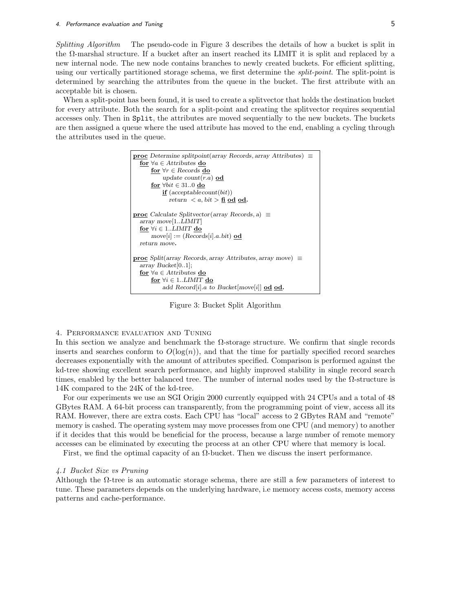Splitting Algorithm The pseudo-code in Figure 3 describes the details of how a bucket is split in the Ω-marshal structure. If a bucket after an insert reached its LIMIT it is split and replaced by a new internal node. The new node contains branches to newly created buckets. For efficient splitting, using our vertically partitioned storage schema, we first determine the *split-point*. The split-point is determined by searching the attributes from the queue in the bucket. The first attribute with an acceptable bit is chosen.

When a split-point has been found, it is used to create a splitvector that holds the destination bucket for every attribute. Both the search for a split-point and creating the splitvector requires sequential accesses only. Then in Split, the attributes are moved sequentially to the new buckets. The buckets are then assigned a queue where the used attribute has moved to the end, enabling a cycling through the attributes used in the queue.



Figure 3: Bucket Split Algorithm

#### 4. Performance evaluation and Tuning

In this section we analyze and benchmark the  $\Omega$ -storage structure. We confirm that single records inserts and searches conform to  $O(log(n))$ , and that the time for partially specified record searches decreases exponentially with the amount of attributes specified. Comparison is performed against the kd-tree showing excellent search performance, and highly improved stability in single record search times, enabled by the better balanced tree. The number of internal nodes used by the  $\Omega$ -structure is 14K compared to the 24K of the kd-tree.

For our experiments we use an SGI Origin 2000 currently equipped with 24 CPUs and a total of 48 GBytes RAM. A 64-bit process can transparently, from the programming point of view, access all its RAM. However, there are extra costs. Each CPU has "local" access to 2 GBytes RAM and "remote" memory is cashed. The operating system may move processes from one CPU (and memory) to another if it decides that this would be beneficial for the process, because a large number of remote memory accesses can be eliminated by executing the process at an other CPU where that memory is local.

First, we find the optimal capacity of an  $\Omega$ -bucket. Then we discuss the insert performance.

#### 4.1 Bucket Size vs Pruning

Although the  $\Omega$ -tree is an automatic storage schema, there are still a few parameters of interest to tune. These parameters depends on the underlying hardware, i.e memory access costs, memory access patterns and cache-performance.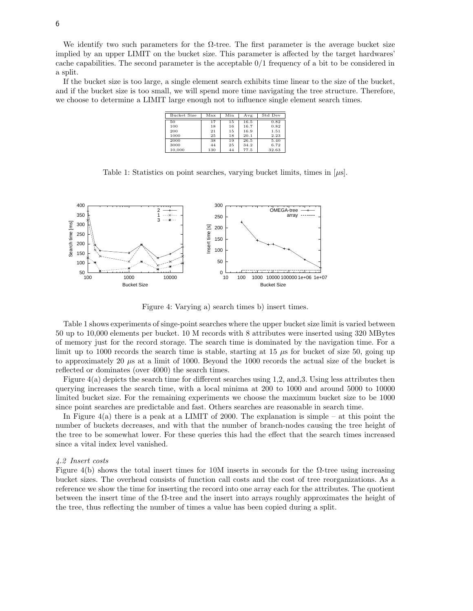We identify two such parameters for the  $\Omega$ -tree. The first parameter is the average bucket size implied by an upper LIMIT on the bucket size. This parameter is affected by the target hardwares' cache capabilities. The second parameter is the acceptable 0/1 frequency of a bit to be considered in a split.

If the bucket size is too large, a single element search exhibits time linear to the size of the bucket, and if the bucket size is too small, we will spend more time navigating the tree structure. Therefore, we choose to determine a LIMIT large enough not to influence single element search times.

| Bucket Size | Max | Min | Avg  | Std Dev |
|-------------|-----|-----|------|---------|
| 50          | 17  | 15  | 16.5 | 0.82    |
| 100         | 18  | 16  | 16.7 | 0.82    |
| 200         | 21  | 15  | 16.9 | 1.51    |
| 1000        | 25  | 18  | 20.1 | 2.23    |
| 2000        | 38  | 19  | 26.5 | 5.40    |
| 3000        | 44  | 25  | 34.2 | 6.72    |
| 10.000      | 130 | 44  | 77.5 | 32.63   |

Table 1: Statistics on point searches, varying bucket limits, times in  $[\mu s]$ .



Figure 4: Varying a) search times b) insert times.

Table 1 shows experiments of singe-point searches where the upper bucket size limit is varied between 50 up to 10,000 elements per bucket. 10 M records with 8 attributes were inserted using 320 MBytes of memory just for the record storage. The search time is dominated by the navigation time. For a limit up to 1000 records the search time is stable, starting at 15  $\mu$ s for bucket of size 50, going up to approximately 20  $\mu$ s at a limit of 1000. Beyond the 1000 records the actual size of the bucket is reflected or dominates (over 4000) the search times.

Figure 4(a) depicts the search time for different searches using 1,2, and,3. Using less attributes then querying increases the search time, with a local minima at 200 to 1000 and around 5000 to 10000 limited bucket size. For the remaining experiments we choose the maximum bucket size to be 1000 since point searches are predictable and fast. Others searches are reasonable in search time.

In Figure  $4(a)$  there is a peak at a LIMIT of 2000. The explanation is simple – at this point the number of buckets decreases, and with that the number of branch-nodes causing the tree height of the tree to be somewhat lower. For these queries this had the effect that the search times increased since a vital index level vanished.

#### 4.2 Insert costs

Figure 4(b) shows the total insert times for 10M inserts in seconds for the  $\Omega$ -tree using increasing bucket sizes. The overhead consists of function call costs and the cost of tree reorganizations. As a reference we show the time for inserting the record into one array each for the attributes. The quotient between the insert time of the Ω-tree and the insert into arrays roughly approximates the height of the tree, thus reflecting the number of times a value has been copied during a split.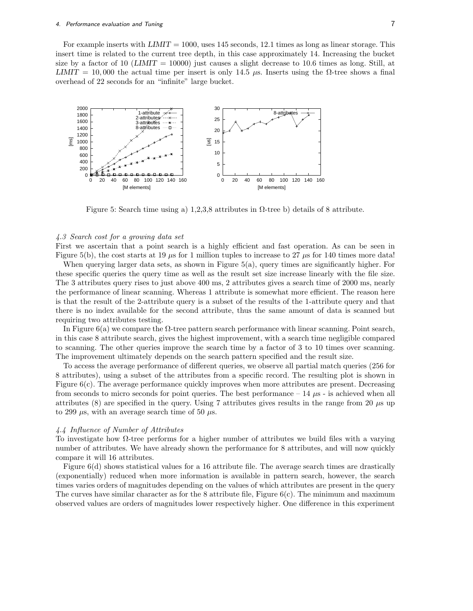## 4. Performance evaluation and Tuning 7

For example inserts with  $LIMIT = 1000$ , uses 145 seconds, 12.1 times as long as linear storage. This insert time is related to the current tree depth, in this case approximately 14. Increasing the bucket size by a factor of 10 ( $LIMIT = 10000$ ) just causes a slight decrease to 10.6 times as long. Still, at *LIMIT* = 10,000 the actual time per insert is only 14.5  $\mu$ s. Inserts using the  $\Omega$ -tree shows a final overhead of 22 seconds for an "infinite" large bucket.



Figure 5: Search time using a) 1,2,3,8 attributes in Ω-tree b) details of 8 attribute.

#### 4.3 Search cost for a growing data set

First we ascertain that a point search is a highly efficient and fast operation. As can be seen in Figure 5(b), the cost starts at 19  $\mu$ s for 1 million tuples to increase to 27  $\mu$ s for 140 times more data!

When querying larger data sets, as shown in Figure  $5(a)$ , query times are significantly higher. For these specific queries the query time as well as the result set size increase linearly with the file size. The 3 attributes query rises to just above 400 ms, 2 attributes gives a search time of 2000 ms, nearly the performance of linear scanning. Whereas 1 attribute is somewhat more efficient. The reason here is that the result of the 2-attribute query is a subset of the results of the 1-attribute query and that there is no index available for the second attribute, thus the same amount of data is scanned but requiring two attributes testing.

In Figure 6(a) we compare the  $\Omega$ -tree pattern search performance with linear scanning. Point search, in this case 8 attribute search, gives the highest improvement, with a search time negligible compared to scanning. The other queries improve the search time by a factor of 3 to 10 times over scanning. The improvement ultimately depends on the search pattern specified and the result size.

To access the average performance of different queries, we observe all partial match queries (256 for 8 attributes), using a subset of the attributes from a specific record. The resulting plot is shown in Figure 6(c). The average performance quickly improves when more attributes are present. Decreasing from seconds to micro seconds for point queries. The best performance  $-14 \mu s$  - is achieved when all attributes  $(8)$  are specified in the query. Using 7 attributes gives results in the range from 20  $\mu$ s up to 299  $\mu$ s, with an average search time of 50  $\mu$ s.

#### 4.4 Influence of Number of Attributes

To investigate how Ω-tree performs for a higher number of attributes we build files with a varying number of attributes. We have already shown the performance for 8 attributes, and will now quickly compare it will 16 attributes.

Figure 6(d) shows statistical values for a 16 attribute file. The average search times are drastically (exponentially) reduced when more information is available in pattern search, however, the search times varies orders of magnitudes depending on the values of which attributes are present in the query The curves have similar character as for the 8 attribute file, Figure 6(c). The minimum and maximum observed values are orders of magnitudes lower respectively higher. One difference in this experiment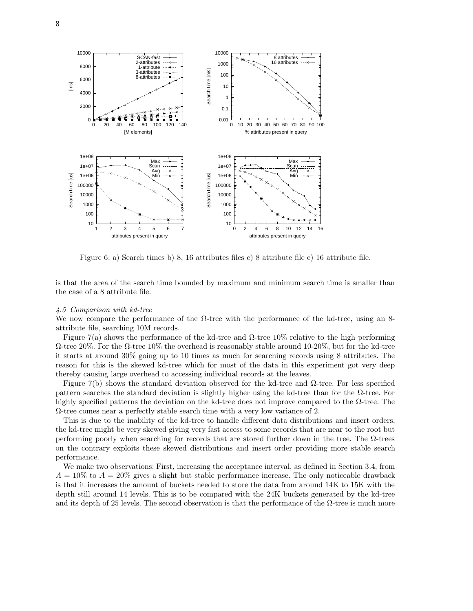

Figure 6: a) Search times b) 8, 16 attributes files c) 8 attribute file e) 16 attribute file.

is that the area of the search time bounded by maximum and minimum search time is smaller than the case of a 8 attribute file.

### 4.5 Comparison with kd-tree

We now compare the performance of the  $\Omega$ -tree with the performance of the kd-tree, using an 8attribute file, searching 10M records.

Figure 7(a) shows the performance of the kd-tree and  $\Omega$ -tree 10% relative to the high performing Ω-tree 20%. For the Ω-tree 10% the overhead is reasonably stable around 10-20%, but for the kd-tree it starts at around 30% going up to 10 times as much for searching records using 8 attributes. The reason for this is the skewed kd-tree which for most of the data in this experiment got very deep thereby causing large overhead to accessing individual records at the leaves.

Figure 7(b) shows the standard deviation observed for the kd-tree and  $\Omega$ -tree. For less specified pattern searches the standard deviation is slightly higher using the kd-tree than for the Ω-tree. For highly specified patterns the deviation on the kd-tree does not improve compared to the Ω-tree. The  $\Omega$ -tree comes near a perfectly stable search time with a very low variance of 2.

This is due to the inability of the kd-tree to handle different data distributions and insert orders, the kd-tree might be very skewed giving very fast access to some records that are near to the root but performing poorly when searching for records that are stored further down in the tree. The Ω-trees on the contrary exploits these skewed distributions and insert order providing more stable search performance.

We make two observations: First, increasing the acceptance interval, as defined in Section 3.4, from  $A = 10\%$  to  $A = 20\%$  gives a slight but stable performance increase. The only noticeable drawback is that it increases the amount of buckets needed to store the data from around 14K to 15K with the depth still around 14 levels. This is to be compared with the 24K buckets generated by the kd-tree and its depth of 25 levels. The second observation is that the performance of the  $\Omega$ -tree is much more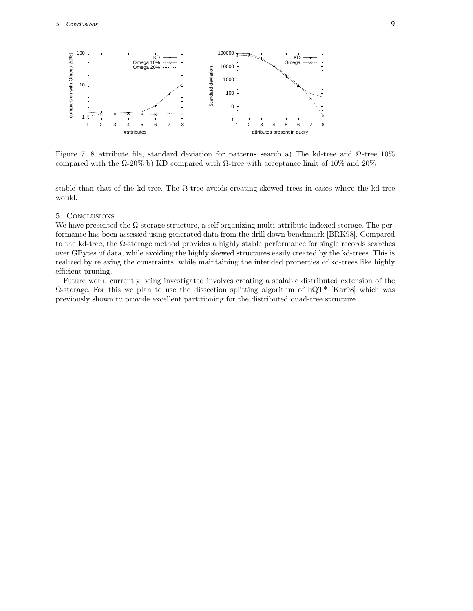

Figure 7: 8 attribute file, standard deviation for patterns search a) The kd-tree and  $Ω$ -tree 10% compared with the Ω-20% b) KD compared with Ω-tree with acceptance limit of 10% and 20%

stable than that of the kd-tree. The  $\Omega$ -tree avoids creating skewed trees in cases where the kd-tree would.

## 5. Conclusions

We have presented the Ω-storage structure, a self organizing multi-attribute indexed storage. The performance has been assessed using generated data from the drill down benchmark [BRK98]. Compared to the kd-tree, the Ω-storage method provides a highly stable performance for single records searches over GBytes of data, while avoiding the highly skewed structures easily created by the kd-trees. This is realized by relaxing the constraints, while maintaining the intended properties of kd-trees like highly efficient pruning.

Future work, currently being investigated involves creating a scalable distributed extension of the Ω-storage. For this we plan to use the dissection splitting algorithm of hQT\* [Kar98] which was previously shown to provide excellent partitioning for the distributed quad-tree structure.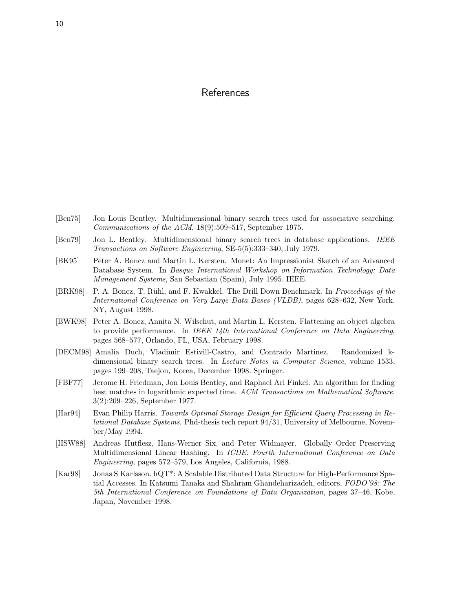# References

- [Ben75] Jon Louis Bentley. Multidimensional binary search trees used for associative searching. Communications of the ACM, 18(9):509–517, September 1975.
- [Ben79] Jon L. Bentley. Multidimensional binary search trees in database applications. IEEE Transactions on Software Engineering, SE-5(5):333–340, July 1979.
- [BK95] Peter A. Boncz and Martin L. Kersten. Monet: An Impressionist Sketch of an Advanced Database System. In Basque International Workshop on Information Technology: Data Management Systems, San Sebastian (Spain), July 1995. IEEE.
- [BRK98] P. A. Boncz, T. Rühl, and F. Kwakkel. The Drill Down Benchmark. In Proceedings of the International Conference on Very Large Data Bases (VLDB), pages 628–632, New York, NY, August 1998.
- [BWK98] Peter A. Boncz, Annita N. Wilschut, and Martin L. Kersten. Flattening an object algebra to provide performance. In IEEE  $14th$  International Conference on Data Engineering, pages 568–577, Orlando, FL, USA, February 1998.
- [DECM98] Amalia Duch, Vladimir Estivill-Castro, and Contrado Martinez. Randomized kdimensional binary search trees. In Lecture Notes in Computer Science, volume 1533, pages 199–208, Taejon, Korea, December 1998. Springer.
- [FBF77] Jerome H. Friedman, Jon Louis Bentley, and Raphael Ari Finkel. An algorithm for finding best matches in logarithmic expected time. ACM Transactions on Mathematical Software, 3(2):209–226, September 1977.
- [Har94] Evan Philip Harris. Towards Optimal Storage Design for Efficient Query Processing in Relational Database Systems. Phd-thesis tech report 94/31, University of Melbourne, November/May 1994.
- [HSW88] Andreas Hutflesz, Hans-Werner Six, and Peter Widmayer. Globally Order Preserving Multidimensional Linear Hashing. In ICDE: Fourth International Conference on Data Engineering, pages 572–579, Los Angeles, California, 1988.
- [Kar98] Jonas S Karlsson. hQT\*: A Scalable Distributed Data Structure for High-Performance Spatial Accesses. In Katsumi Tanaka and Shahram Ghandeharizadeh, editors, FODO'98: The 5th International Conference on Foundations of Data Organization, pages 37–46, Kobe, Japan, November 1998.